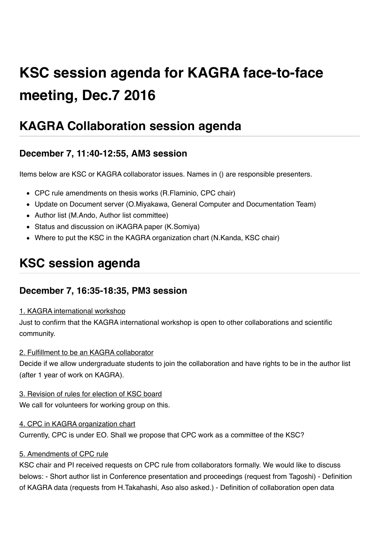# **KSC session agenda for KAGRA face-to-face meeting, Dec.7 2016**

# **KAGRA Collaboration session agenda**

### **December 7, 11:40-12:55, AM3 session**

Items below are KSC or KAGRA collaborator issues. Names in () are responsible presenters.

- CPC rule amendments on thesis works (R.Flaminio, CPC chair)
- Update on Document server (O.Miyakawa, General Computer and Documentation Team)
- Author list (M.Ando, Author list committee)
- Status and discussion on iKAGRA paper (K.Somiya)
- Where to put the KSC in the KAGRA organization chart (N.Kanda, KSC chair)

## **KSC session agenda**

### **December 7, 16:35-18:35, PM3 session**

#### 1. KAGRA international workshop

Just to confirm that the KAGRA international workshop is open to other collaborations and scientific community.

#### 2. Fulfillment to be an KAGRA collaborator

Decide if we allow undergraduate students to join the collaboration and have rights to be in the author list (after 1 year of work on KAGRA).

#### 3. Revision of rules for election of KSC board

We call for volunteers for working group on this.

#### 4. CPC in KAGRA organization chart

Currently, CPC is under EO. Shall we propose that CPC work as a committee of the KSC?

#### 5. Amendments of CPC rule

KSC chair and PI received requests on CPC rule from collaborators formally. We would like to discuss belows: - Short author list in Conference presentation and proceedings (request from Tagoshi) - Definition of KAGRA data (requests from H.Takahashi, Aso also asked.) - Definition of collaboration open data